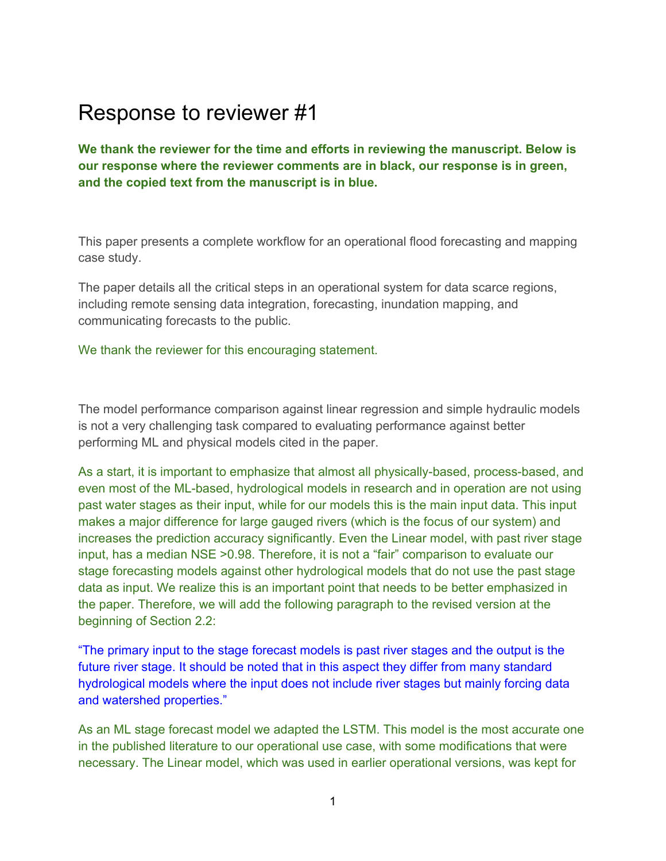## Response to reviewer #1

**We thank the reviewer for the time and efforts in reviewing the manuscript. Below is our response where the reviewer comments are in black, our response is in green, and the copied text from the manuscript is in blue.**

This paper presents a complete workflow for an operational flood forecasting and mapping case study.

The paper details all the critical steps in an operational system for data scarce regions, including remote sensing data integration, forecasting, inundation mapping, and communicating forecasts to the public.

We thank the reviewer for this encouraging statement.

The model performance comparison against linear regression and simple hydraulic models is not a very challenging task compared to evaluating performance against better performing ML and physical models cited in the paper.

As a start, it is important to emphasize that almost all physically-based, process-based, and even most of the ML-based, hydrological models in research and in operation are not using past water stages as their input, while for our models this is the main input data. This input makes a major difference for large gauged rivers (which is the focus of our system) and increases the prediction accuracy significantly. Even the Linear model, with past river stage input, has a median NSE >0.98. Therefore, it is not a "fair" comparison to evaluate our stage forecasting models against other hydrological models that do not use the past stage data as input. We realize this is an important point that needs to be better emphasized in the paper. Therefore, we will add the following paragraph to the revised version at the beginning of Section 2.2:

"The primary input to the stage forecast models is past river stages and the output is the future river stage. It should be noted that in this aspect they differ from many standard hydrological models where the input does not include river stages but mainly forcing data and watershed properties."

As an ML stage forecast model we adapted the LSTM. This model is the most accurate one in the published literature to our operational use case, with some modifications that were necessary. The Linear model, which was used in earlier operational versions, was kept for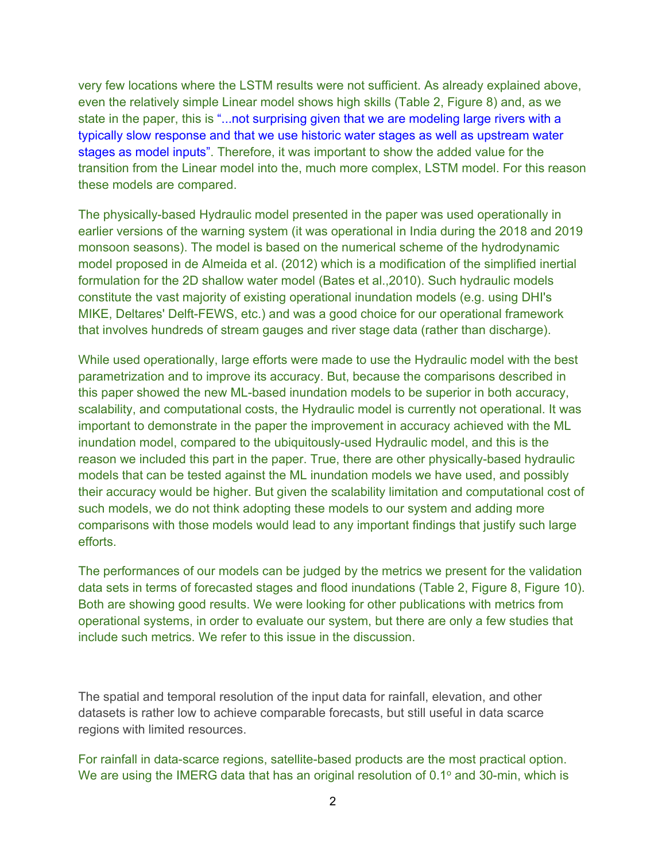very few locations where the LSTM results were not sufficient. As already explained above, even the relatively simple Linear model shows high skills (Table 2, Figure 8) and, as we state in the paper, this is "...not surprising given that we are modeling large rivers with a typically slow response and that we use historic water stages as well as upstream water stages as model inputs". Therefore, it was important to show the added value for the transition from the Linear model into the, much more complex, LSTM model. For this reason these models are compared.

The physically-based Hydraulic model presented in the paper was used operationally in earlier versions of the warning system (it was operational in India during the 2018 and 2019 monsoon seasons). The model is based on the numerical scheme of the hydrodynamic model proposed in de Almeida et al. (2012) which is a modification of the simplified inertial formulation for the 2D shallow water model (Bates et al.,2010). Such hydraulic models constitute the vast majority of existing operational inundation models (e.g. using DHI's MIKE, Deltares' Delft-FEWS, etc.) and was a good choice for our operational framework that involves hundreds of stream gauges and river stage data (rather than discharge).

While used operationally, large efforts were made to use the Hydraulic model with the best parametrization and to improve its accuracy. But, because the comparisons described in this paper showed the new ML-based inundation models to be superior in both accuracy, scalability, and computational costs, the Hydraulic model is currently not operational. It was important to demonstrate in the paper the improvement in accuracy achieved with the ML inundation model, compared to the ubiquitously-used Hydraulic model, and this is the reason we included this part in the paper. True, there are other physically-based hydraulic models that can be tested against the ML inundation models we have used, and possibly their accuracy would be higher. But given the scalability limitation and computational cost of such models, we do not think adopting these models to our system and adding more comparisons with those models would lead to any important findings that justify such large efforts.

The performances of our models can be judged by the metrics we present for the validation data sets in terms of forecasted stages and flood inundations (Table 2, Figure 8, Figure 10). Both are showing good results. We were looking for other publications with metrics from operational systems, in order to evaluate our system, but there are only a few studies that include such metrics. We refer to this issue in the discussion.

The spatial and temporal resolution of the input data for rainfall, elevation, and other datasets is rather low to achieve comparable forecasts, but still useful in data scarce regions with limited resources.

For rainfall in data-scarce regions, satellite-based products are the most practical option. We are using the IMERG data that has an original resolution of  $0.1^\circ$  and  $30$ -min, which is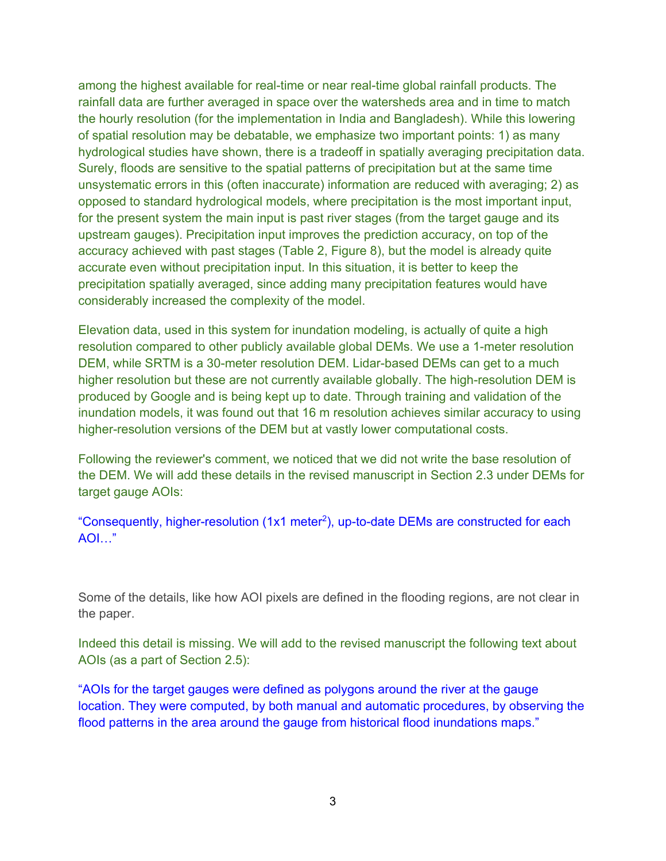among the highest available for real-time or near real-time global rainfall products. The rainfall data are further averaged in space over the watersheds area and in time to match the hourly resolution (for the implementation in India and Bangladesh). While this lowering of spatial resolution may be debatable, we emphasize two important points: 1) as many hydrological studies have shown, there is a tradeoff in spatially averaging precipitation data. Surely, floods are sensitive to the spatial patterns of precipitation but at the same time unsystematic errors in this (often inaccurate) information are reduced with averaging; 2) as opposed to standard hydrological models, where precipitation is the most important input, for the present system the main input is past river stages (from the target gauge and its upstream gauges). Precipitation input improves the prediction accuracy, on top of the accuracy achieved with past stages (Table 2, Figure 8), but the model is already quite accurate even without precipitation input. In this situation, it is better to keep the precipitation spatially averaged, since adding many precipitation features would have considerably increased the complexity of the model.

Elevation data, used in this system for inundation modeling, is actually of quite a high resolution compared to other publicly available global DEMs. We use a 1-meter resolution DEM, while SRTM is a 30-meter resolution DEM. Lidar-based DEMs can get to a much higher resolution but these are not currently available globally. The high-resolution DEM is produced by Google and is being kept up to date. Through training and validation of the inundation models, it was found out that 16 m resolution achieves similar accuracy to using higher-resolution versions of the DEM but at vastly lower computational costs.

Following the reviewer's comment, we noticed that we did not write the base resolution of the DEM. We will add these details in the revised manuscript in Section 2.3 under DEMs for target gauge AOIs:

"Consequently, higher-resolution (1x1 meter<sup>2</sup>), up-to-date DEMs are constructed for each AOI…"

Some of the details, like how AOI pixels are defined in the flooding regions, are not clear in the paper.

Indeed this detail is missing. We will add to the revised manuscript the following text about AOIs (as a part of Section 2.5):

"AOIs for the target gauges were defined as polygons around the river at the gauge location. They were computed, by both manual and automatic procedures, by observing the flood patterns in the area around the gauge from historical flood inundations maps."